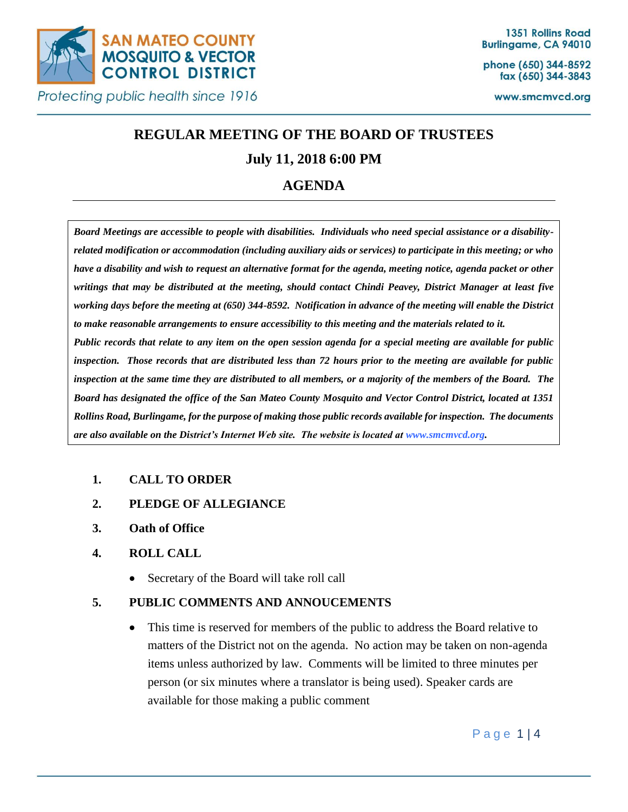

phone (650) 344-8592 fax (650) 344-3843

www.smcmvcd.org

# **REGULAR MEETING OF THE BOARD OF TRUSTEES**

## **July 11, 2018 6:00 PM**

## **AGENDA**

*Board Meetings are accessible to people with disabilities. Individuals who need special assistance or a disabilityrelated modification or accommodation (including auxiliary aids or services) to participate in this meeting; or who have a disability and wish to request an alternative format for the agenda, meeting notice, agenda packet or other writings that may be distributed at the meeting, should contact Chindi Peavey, District Manager at least five working days before the meeting at (650) 344-8592. Notification in advance of the meeting will enable the District to make reasonable arrangements to ensure accessibility to this meeting and the materials related to it. Public records that relate to any item on the open session agenda for a special meeting are available for public inspection. Those records that are distributed less than 72 hours prior to the meeting are available for public inspection at the same time they are distributed to all members, or a majority of the members of the Board. The Board has designated the office of the San Mateo County Mosquito and Vector Control District, located at 1351 Rollins Road, Burlingame, for the purpose of making those public records available for inspection. The documents are also available on the District's Internet Web site. The website is located at www.smcmvcd.org.* 

## **1. CALL TO ORDER**

- **2. PLEDGE OF ALLEGIANCE**
- **3. Oath of Office**

## **4. ROLL CALL**

Secretary of the Board will take roll call

## **5. PUBLIC COMMENTS AND ANNOUCEMENTS**

 This time is reserved for members of the public to address the Board relative to matters of the District not on the agenda. No action may be taken on non-agenda items unless authorized by law. Comments will be limited to three minutes per person (or six minutes where a translator is being used). Speaker cards are available for those making a public comment

Page 1|4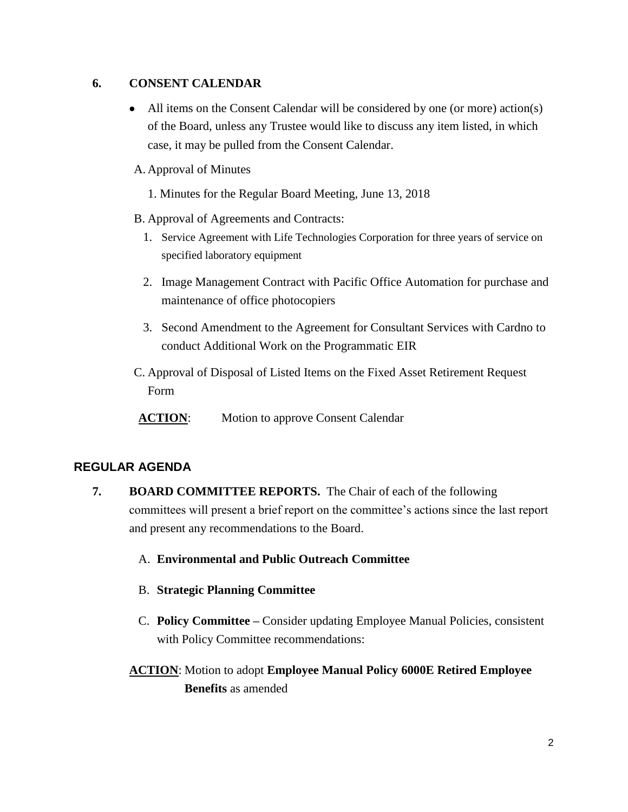## **6. CONSENT CALENDAR**

 All items on the Consent Calendar will be considered by one (or more) action(s) of the Board, unless any Trustee would like to discuss any item listed, in which case, it may be pulled from the Consent Calendar.

## A. Approval of Minutes

- 1. Minutes for the Regular Board Meeting, June 13, 2018
- B. Approval of Agreements and Contracts:
	- 1. Service Agreement with Life Technologies Corporation for three years of service on specified laboratory equipment
	- 2. Image Management Contract with Pacific Office Automation for purchase and maintenance of office photocopiers
	- 3. Second Amendment to the Agreement for Consultant Services with Cardno to conduct Additional Work on the Programmatic EIR
- C. Approval of Disposal of Listed Items on the Fixed Asset Retirement Request Form
- **ACTION**: Motion to approve Consent Calendar

## **REGULAR AGENDA**

- **7. BOARD COMMITTEE REPORTS.** The Chair of each of the following committees will present a brief report on the committee's actions since the last report and present any recommendations to the Board.
	- A. **Environmental and Public Outreach Committee**
	- B. **Strategic Planning Committee**
	- C. **Policy Committee –** Consider updating Employee Manual Policies, consistent with Policy Committee recommendations:
	- **ACTION**: Motion to adopt **Employee Manual Policy 6000E Retired Employee Benefits** as amended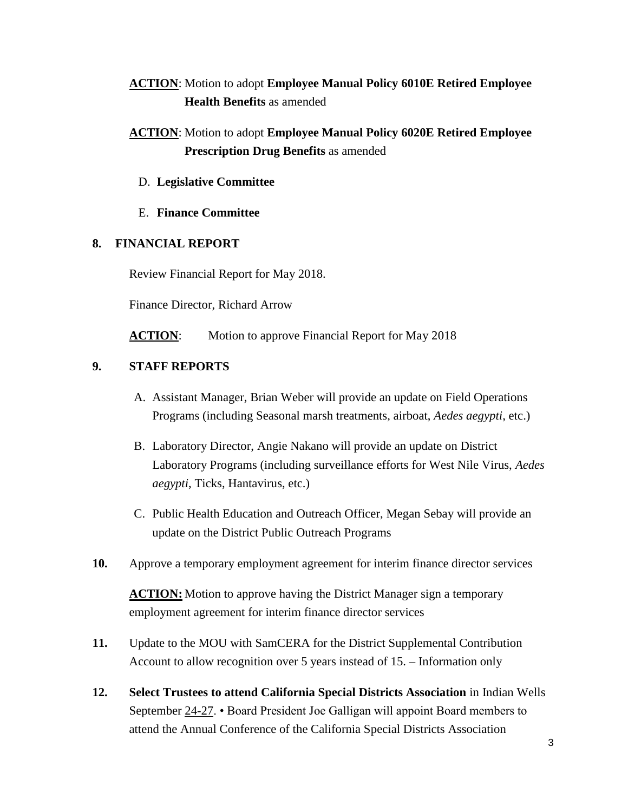## **ACTION**: Motion to adopt **Employee Manual Policy 6010E Retired Employee Health Benefits** as amended

- **ACTION**: Motion to adopt **Employee Manual Policy 6020E Retired Employee Prescription Drug Benefits** as amended
	- D. **Legislative Committee**
	- E. **Finance Committee**

#### **8. FINANCIAL REPORT**

Review Financial Report for May 2018.

Finance Director, Richard Arrow

ACTION: Motion to approve Financial Report for May 2018

## **9. STAFF REPORTS**

- A. Assistant Manager, Brian Weber will provide an update on Field Operations Programs (including Seasonal marsh treatments, airboat, *Aedes aegypti*, etc.)
- B. Laboratory Director, Angie Nakano will provide an update on District Laboratory Programs (including surveillance efforts for West Nile Virus, *Aedes aegypti*, Ticks, Hantavirus, etc.)
- C. Public Health Education and Outreach Officer, Megan Sebay will provide an update on the District Public Outreach Programs
- **10.** Approve a temporary employment agreement for interim finance director services

**ACTION:** Motion to approve having the District Manager sign a temporary employment agreement for interim finance director services

- **11.** Update to the MOU with SamCERA for the District Supplemental Contribution Account to allow recognition over 5 years instead of 15. – Information only
- **12. Select Trustees to attend California Special Districts Association** in Indian Wells September 24-27. • Board President Joe Galligan will appoint Board members to attend the Annual Conference of the California Special Districts Association